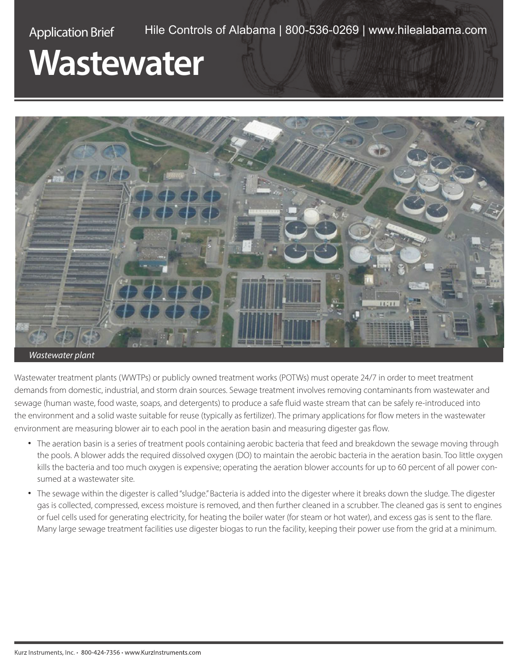## Application Brief Hile Controls of Alabama | 800-536-0269 | [www.hilealabama.com](http://www.hilealabama.com)

## **Wastewater**



Wastewater treatment plants (WWTPs) or publicly owned treatment works (POTWs) must operate 24/7 in order to meet treatment demands from domestic, industrial, and storm drain sources. Sewage treatment involves removing contaminants from wastewater and sewage (human waste, food waste, soaps, and detergents) to produce a safe fluid waste stream that can be safely re-introduced into the environment and a solid waste suitable for reuse (typically as fertilizer). The primary applications for flow meters in the wastewater environment are measuring blower air to each pool in the aeration basin and measuring digester gas flow.

- The aeration basin is a series of treatment pools containing aerobic bacteria that feed and breakdown the sewage moving through the pools. A blower adds the required dissolved oxygen (DO) to maintain the aerobic bacteria in the aeration basin. Too little oxygen kills the bacteria and too much oxygen is expensive; operating the aeration blower accounts for up to 60 percent of all power consumed at a wastewater site.
- The sewage within the digester is called "sludge." Bacteria is added into the digester where it breaks down the sludge. The digester gas is collected, compressed, excess moisture is removed, and then further cleaned in a scrubber. The cleaned gas is sent to engines or fuel cells used for generating electricity, for heating the boiler water (for steam or hot water), and excess gas is sent to the flare. Many large sewage treatment facilities use digester biogas to run the facility, keeping their power use from the grid at a minimum.